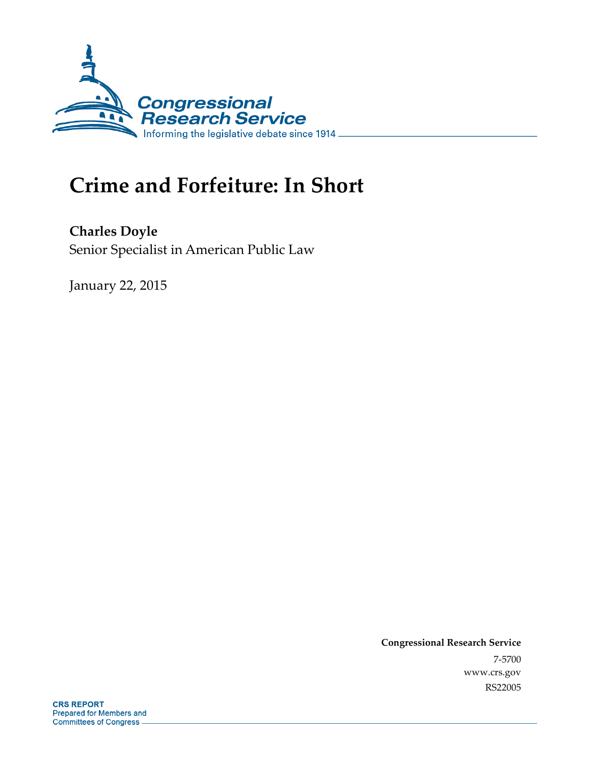

# **Crime and Forfeiture: In Short**

**Charles Doyle**  Senior Specialist in American Public Law

January 22, 2015

**Congressional Research Service**  7-5700 www.crs.gov RS22005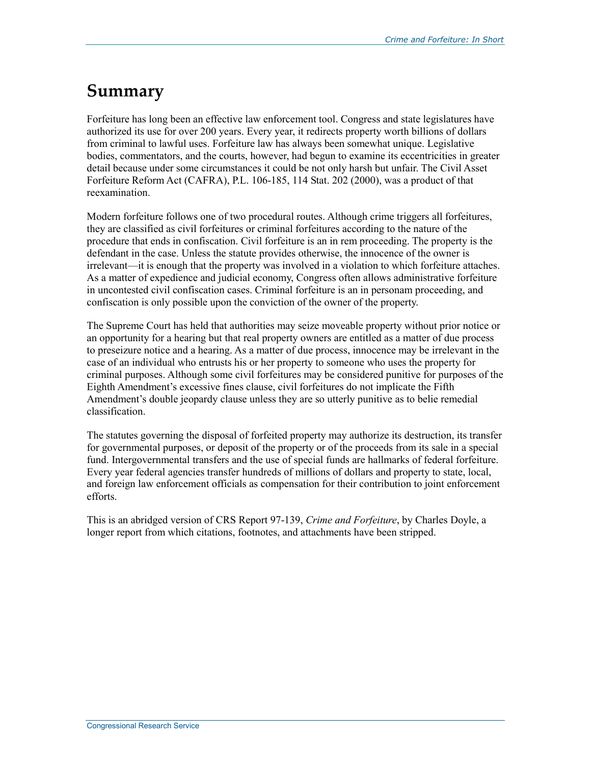#### **Summary**

Forfeiture has long been an effective law enforcement tool. Congress and state legislatures have authorized its use for over 200 years. Every year, it redirects property worth billions of dollars from criminal to lawful uses. Forfeiture law has always been somewhat unique. Legislative bodies, commentators, and the courts, however, had begun to examine its eccentricities in greater detail because under some circumstances it could be not only harsh but unfair. The Civil Asset Forfeiture Reform Act (CAFRA), P.L. 106-185, 114 Stat. 202 (2000), was a product of that reexamination.

Modern forfeiture follows one of two procedural routes. Although crime triggers all forfeitures, they are classified as civil forfeitures or criminal forfeitures according to the nature of the procedure that ends in confiscation. Civil forfeiture is an in rem proceeding. The property is the defendant in the case. Unless the statute provides otherwise, the innocence of the owner is irrelevant—it is enough that the property was involved in a violation to which forfeiture attaches. As a matter of expedience and judicial economy, Congress often allows administrative forfeiture in uncontested civil confiscation cases. Criminal forfeiture is an in personam proceeding, and confiscation is only possible upon the conviction of the owner of the property.

The Supreme Court has held that authorities may seize moveable property without prior notice or an opportunity for a hearing but that real property owners are entitled as a matter of due process to preseizure notice and a hearing. As a matter of due process, innocence may be irrelevant in the case of an individual who entrusts his or her property to someone who uses the property for criminal purposes. Although some civil forfeitures may be considered punitive for purposes of the Eighth Amendment's excessive fines clause, civil forfeitures do not implicate the Fifth Amendment's double jeopardy clause unless they are so utterly punitive as to belie remedial classification.

The statutes governing the disposal of forfeited property may authorize its destruction, its transfer for governmental purposes, or deposit of the property or of the proceeds from its sale in a special fund. Intergovernmental transfers and the use of special funds are hallmarks of federal forfeiture. Every year federal agencies transfer hundreds of millions of dollars and property to state, local, and foreign law enforcement officials as compensation for their contribution to joint enforcement efforts.

This is an abridged version of CRS Report 97-139, *Crime and Forfeiture*, by Charles Doyle, a longer report from which citations, footnotes, and attachments have been stripped.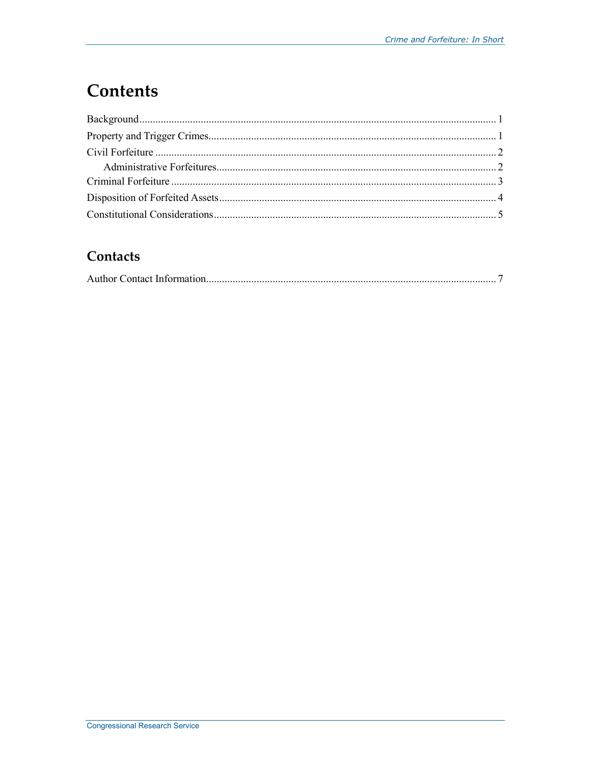### **Contents**

#### Contacts

|--|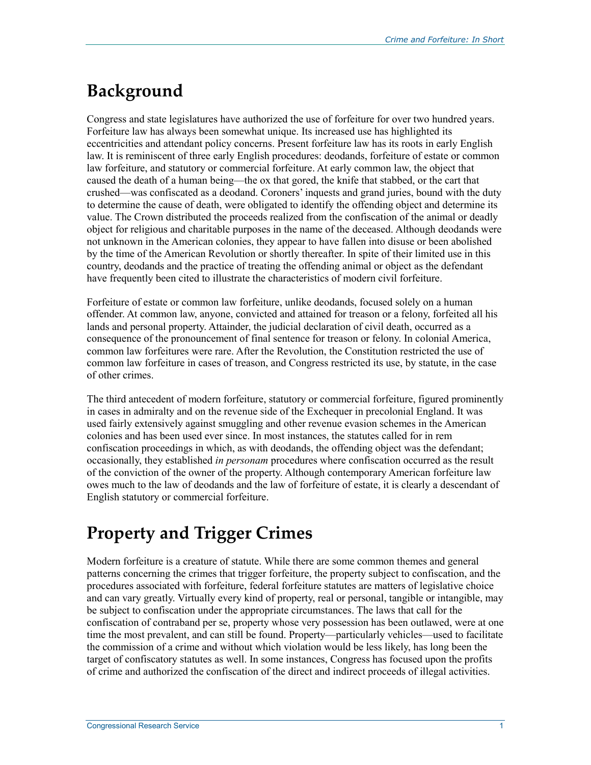# **Background**

Congress and state legislatures have authorized the use of forfeiture for over two hundred years. Forfeiture law has always been somewhat unique. Its increased use has highlighted its eccentricities and attendant policy concerns. Present forfeiture law has its roots in early English law. It is reminiscent of three early English procedures: deodands, forfeiture of estate or common law forfeiture, and statutory or commercial forfeiture. At early common law, the object that caused the death of a human being—the ox that gored, the knife that stabbed, or the cart that crushed—was confiscated as a deodand. Coroners' inquests and grand juries, bound with the duty to determine the cause of death, were obligated to identify the offending object and determine its value. The Crown distributed the proceeds realized from the confiscation of the animal or deadly object for religious and charitable purposes in the name of the deceased. Although deodands were not unknown in the American colonies, they appear to have fallen into disuse or been abolished by the time of the American Revolution or shortly thereafter. In spite of their limited use in this country, deodands and the practice of treating the offending animal or object as the defendant have frequently been cited to illustrate the characteristics of modern civil forfeiture.

Forfeiture of estate or common law forfeiture, unlike deodands, focused solely on a human offender. At common law, anyone, convicted and attained for treason or a felony, forfeited all his lands and personal property. Attainder, the judicial declaration of civil death, occurred as a consequence of the pronouncement of final sentence for treason or felony. In colonial America, common law forfeitures were rare. After the Revolution, the Constitution restricted the use of common law forfeiture in cases of treason, and Congress restricted its use, by statute, in the case of other crimes.

The third antecedent of modern forfeiture, statutory or commercial forfeiture, figured prominently in cases in admiralty and on the revenue side of the Exchequer in precolonial England. It was used fairly extensively against smuggling and other revenue evasion schemes in the American colonies and has been used ever since. In most instances, the statutes called for in rem confiscation proceedings in which, as with deodands, the offending object was the defendant; occasionally, they established *in personam* procedures where confiscation occurred as the result of the conviction of the owner of the property. Although contemporary American forfeiture law owes much to the law of deodands and the law of forfeiture of estate, it is clearly a descendant of English statutory or commercial forfeiture.

### **Property and Trigger Crimes**

Modern forfeiture is a creature of statute. While there are some common themes and general patterns concerning the crimes that trigger forfeiture, the property subject to confiscation, and the procedures associated with forfeiture, federal forfeiture statutes are matters of legislative choice and can vary greatly. Virtually every kind of property, real or personal, tangible or intangible, may be subject to confiscation under the appropriate circumstances. The laws that call for the confiscation of contraband per se, property whose very possession has been outlawed, were at one time the most prevalent, and can still be found. Property—particularly vehicles—used to facilitate the commission of a crime and without which violation would be less likely, has long been the target of confiscatory statutes as well. In some instances, Congress has focused upon the profits of crime and authorized the confiscation of the direct and indirect proceeds of illegal activities.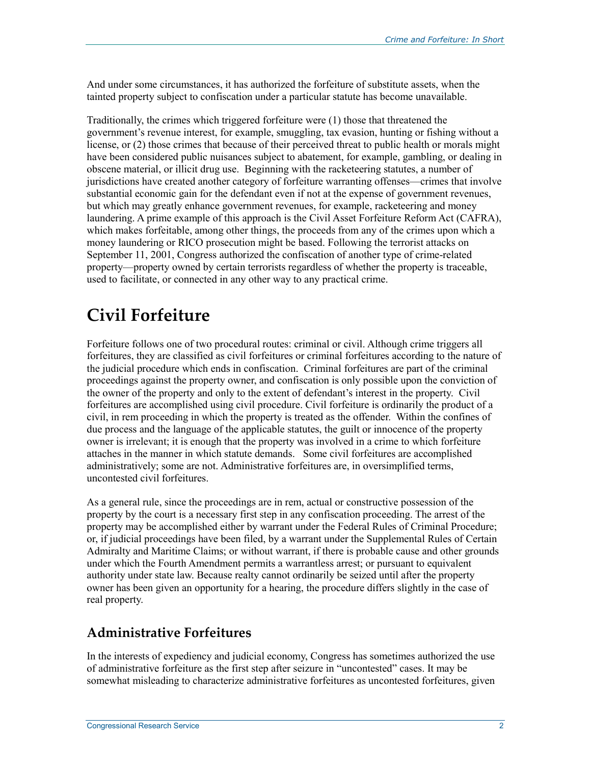And under some circumstances, it has authorized the forfeiture of substitute assets, when the tainted property subject to confiscation under a particular statute has become unavailable.

Traditionally, the crimes which triggered forfeiture were (1) those that threatened the government's revenue interest, for example, smuggling, tax evasion, hunting or fishing without a license, or (2) those crimes that because of their perceived threat to public health or morals might have been considered public nuisances subject to abatement, for example, gambling, or dealing in obscene material, or illicit drug use. Beginning with the racketeering statutes, a number of jurisdictions have created another category of forfeiture warranting offenses—crimes that involve substantial economic gain for the defendant even if not at the expense of government revenues, but which may greatly enhance government revenues, for example, racketeering and money laundering. A prime example of this approach is the Civil Asset Forfeiture Reform Act (CAFRA), which makes forfeitable, among other things, the proceeds from any of the crimes upon which a money laundering or RICO prosecution might be based. Following the terrorist attacks on September 11, 2001, Congress authorized the confiscation of another type of crime-related property—property owned by certain terrorists regardless of whether the property is traceable, used to facilitate, or connected in any other way to any practical crime.

# **Civil Forfeiture**

Forfeiture follows one of two procedural routes: criminal or civil. Although crime triggers all forfeitures, they are classified as civil forfeitures or criminal forfeitures according to the nature of the judicial procedure which ends in confiscation. Criminal forfeitures are part of the criminal proceedings against the property owner, and confiscation is only possible upon the conviction of the owner of the property and only to the extent of defendant's interest in the property. Civil forfeitures are accomplished using civil procedure. Civil forfeiture is ordinarily the product of a civil, in rem proceeding in which the property is treated as the offender. Within the confines of due process and the language of the applicable statutes, the guilt or innocence of the property owner is irrelevant; it is enough that the property was involved in a crime to which forfeiture attaches in the manner in which statute demands. Some civil forfeitures are accomplished administratively; some are not. Administrative forfeitures are, in oversimplified terms, uncontested civil forfeitures.

As a general rule, since the proceedings are in rem, actual or constructive possession of the property by the court is a necessary first step in any confiscation proceeding. The arrest of the property may be accomplished either by warrant under the Federal Rules of Criminal Procedure; or, if judicial proceedings have been filed, by a warrant under the Supplemental Rules of Certain Admiralty and Maritime Claims; or without warrant, if there is probable cause and other grounds under which the Fourth Amendment permits a warrantless arrest; or pursuant to equivalent authority under state law. Because realty cannot ordinarily be seized until after the property owner has been given an opportunity for a hearing, the procedure differs slightly in the case of real property.

#### **Administrative Forfeitures**

In the interests of expediency and judicial economy, Congress has sometimes authorized the use of administrative forfeiture as the first step after seizure in "uncontested" cases. It may be somewhat misleading to characterize administrative forfeitures as uncontested forfeitures, given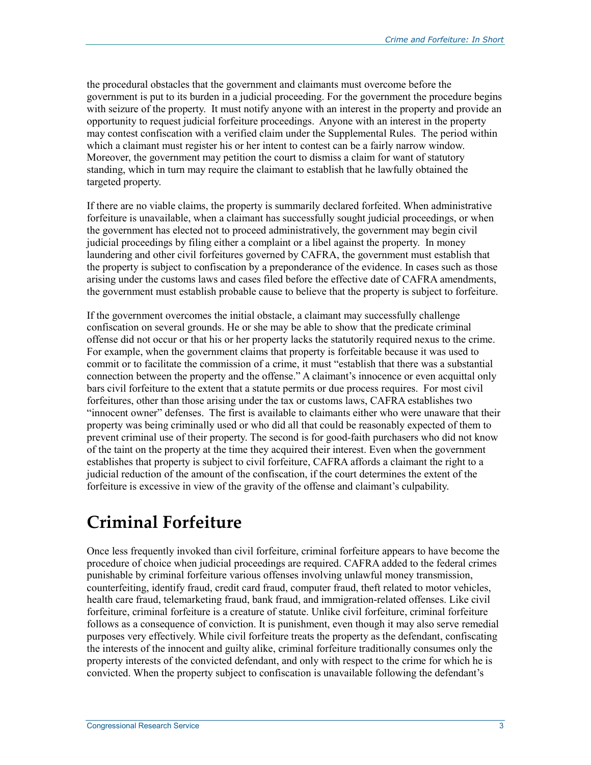the procedural obstacles that the government and claimants must overcome before the government is put to its burden in a judicial proceeding. For the government the procedure begins with seizure of the property. It must notify anyone with an interest in the property and provide an opportunity to request judicial forfeiture proceedings. Anyone with an interest in the property may contest confiscation with a verified claim under the Supplemental Rules. The period within which a claimant must register his or her intent to contest can be a fairly narrow window. Moreover, the government may petition the court to dismiss a claim for want of statutory standing, which in turn may require the claimant to establish that he lawfully obtained the targeted property.

If there are no viable claims, the property is summarily declared forfeited. When administrative forfeiture is unavailable, when a claimant has successfully sought judicial proceedings, or when the government has elected not to proceed administratively, the government may begin civil judicial proceedings by filing either a complaint or a libel against the property. In money laundering and other civil forfeitures governed by CAFRA, the government must establish that the property is subject to confiscation by a preponderance of the evidence. In cases such as those arising under the customs laws and cases filed before the effective date of CAFRA amendments, the government must establish probable cause to believe that the property is subject to forfeiture.

If the government overcomes the initial obstacle, a claimant may successfully challenge confiscation on several grounds. He or she may be able to show that the predicate criminal offense did not occur or that his or her property lacks the statutorily required nexus to the crime. For example, when the government claims that property is forfeitable because it was used to commit or to facilitate the commission of a crime, it must "establish that there was a substantial connection between the property and the offense." A claimant's innocence or even acquittal only bars civil forfeiture to the extent that a statute permits or due process requires. For most civil forfeitures, other than those arising under the tax or customs laws, CAFRA establishes two "innocent owner" defenses. The first is available to claimants either who were unaware that their property was being criminally used or who did all that could be reasonably expected of them to prevent criminal use of their property. The second is for good-faith purchasers who did not know of the taint on the property at the time they acquired their interest. Even when the government establishes that property is subject to civil forfeiture, CAFRA affords a claimant the right to a judicial reduction of the amount of the confiscation, if the court determines the extent of the forfeiture is excessive in view of the gravity of the offense and claimant's culpability.

### **Criminal Forfeiture**

Once less frequently invoked than civil forfeiture, criminal forfeiture appears to have become the procedure of choice when judicial proceedings are required. CAFRA added to the federal crimes punishable by criminal forfeiture various offenses involving unlawful money transmission, counterfeiting, identify fraud, credit card fraud, computer fraud, theft related to motor vehicles, health care fraud, telemarketing fraud, bank fraud, and immigration-related offenses. Like civil forfeiture, criminal forfeiture is a creature of statute. Unlike civil forfeiture, criminal forfeiture follows as a consequence of conviction. It is punishment, even though it may also serve remedial purposes very effectively. While civil forfeiture treats the property as the defendant, confiscating the interests of the innocent and guilty alike, criminal forfeiture traditionally consumes only the property interests of the convicted defendant, and only with respect to the crime for which he is convicted. When the property subject to confiscation is unavailable following the defendant's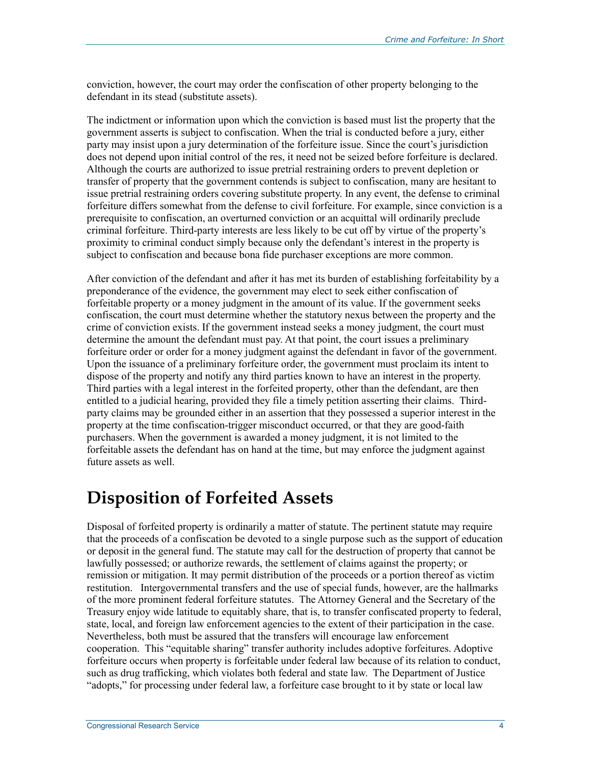conviction, however, the court may order the confiscation of other property belonging to the defendant in its stead (substitute assets).

The indictment or information upon which the conviction is based must list the property that the government asserts is subject to confiscation. When the trial is conducted before a jury, either party may insist upon a jury determination of the forfeiture issue. Since the court's jurisdiction does not depend upon initial control of the res, it need not be seized before forfeiture is declared. Although the courts are authorized to issue pretrial restraining orders to prevent depletion or transfer of property that the government contends is subject to confiscation, many are hesitant to issue pretrial restraining orders covering substitute property. In any event, the defense to criminal forfeiture differs somewhat from the defense to civil forfeiture. For example, since conviction is a prerequisite to confiscation, an overturned conviction or an acquittal will ordinarily preclude criminal forfeiture. Third-party interests are less likely to be cut off by virtue of the property's proximity to criminal conduct simply because only the defendant's interest in the property is subject to confiscation and because bona fide purchaser exceptions are more common.

After conviction of the defendant and after it has met its burden of establishing forfeitability by a preponderance of the evidence, the government may elect to seek either confiscation of forfeitable property or a money judgment in the amount of its value. If the government seeks confiscation, the court must determine whether the statutory nexus between the property and the crime of conviction exists. If the government instead seeks a money judgment, the court must determine the amount the defendant must pay. At that point, the court issues a preliminary forfeiture order or order for a money judgment against the defendant in favor of the government. Upon the issuance of a preliminary forfeiture order, the government must proclaim its intent to dispose of the property and notify any third parties known to have an interest in the property. Third parties with a legal interest in the forfeited property, other than the defendant, are then entitled to a judicial hearing, provided they file a timely petition asserting their claims. Thirdparty claims may be grounded either in an assertion that they possessed a superior interest in the property at the time confiscation-trigger misconduct occurred, or that they are good-faith purchasers. When the government is awarded a money judgment, it is not limited to the forfeitable assets the defendant has on hand at the time, but may enforce the judgment against future assets as well.

#### **Disposition of Forfeited Assets**

Disposal of forfeited property is ordinarily a matter of statute. The pertinent statute may require that the proceeds of a confiscation be devoted to a single purpose such as the support of education or deposit in the general fund. The statute may call for the destruction of property that cannot be lawfully possessed; or authorize rewards, the settlement of claims against the property; or remission or mitigation. It may permit distribution of the proceeds or a portion thereof as victim restitution. Intergovernmental transfers and the use of special funds, however, are the hallmarks of the more prominent federal forfeiture statutes. The Attorney General and the Secretary of the Treasury enjoy wide latitude to equitably share, that is, to transfer confiscated property to federal, state, local, and foreign law enforcement agencies to the extent of their participation in the case. Nevertheless, both must be assured that the transfers will encourage law enforcement cooperation. This "equitable sharing" transfer authority includes adoptive forfeitures. Adoptive forfeiture occurs when property is forfeitable under federal law because of its relation to conduct, such as drug trafficking, which violates both federal and state law. The Department of Justice "adopts," for processing under federal law, a forfeiture case brought to it by state or local law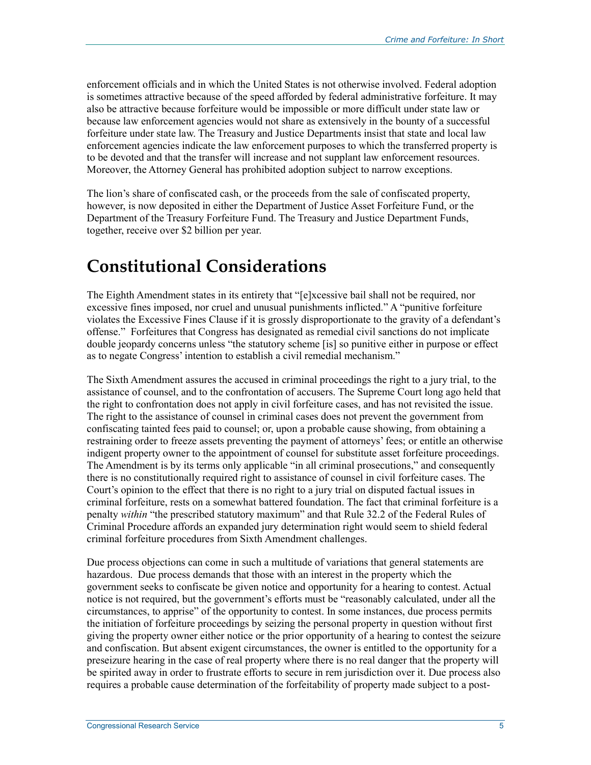enforcement officials and in which the United States is not otherwise involved. Federal adoption is sometimes attractive because of the speed afforded by federal administrative forfeiture. It may also be attractive because forfeiture would be impossible or more difficult under state law or because law enforcement agencies would not share as extensively in the bounty of a successful forfeiture under state law. The Treasury and Justice Departments insist that state and local law enforcement agencies indicate the law enforcement purposes to which the transferred property is to be devoted and that the transfer will increase and not supplant law enforcement resources. Moreover, the Attorney General has prohibited adoption subject to narrow exceptions.

The lion's share of confiscated cash, or the proceeds from the sale of confiscated property, however, is now deposited in either the Department of Justice Asset Forfeiture Fund, or the Department of the Treasury Forfeiture Fund. The Treasury and Justice Department Funds, together, receive over \$2 billion per year.

### **Constitutional Considerations**

The Eighth Amendment states in its entirety that "[e]xcessive bail shall not be required, nor excessive fines imposed, nor cruel and unusual punishments inflicted." A "punitive forfeiture violates the Excessive Fines Clause if it is grossly disproportionate to the gravity of a defendant's offense." Forfeitures that Congress has designated as remedial civil sanctions do not implicate double jeopardy concerns unless "the statutory scheme [is] so punitive either in purpose or effect as to negate Congress' intention to establish a civil remedial mechanism."

The Sixth Amendment assures the accused in criminal proceedings the right to a jury trial, to the assistance of counsel, and to the confrontation of accusers. The Supreme Court long ago held that the right to confrontation does not apply in civil forfeiture cases, and has not revisited the issue. The right to the assistance of counsel in criminal cases does not prevent the government from confiscating tainted fees paid to counsel; or, upon a probable cause showing, from obtaining a restraining order to freeze assets preventing the payment of attorneys' fees; or entitle an otherwise indigent property owner to the appointment of counsel for substitute asset forfeiture proceedings. The Amendment is by its terms only applicable "in all criminal prosecutions," and consequently there is no constitutionally required right to assistance of counsel in civil forfeiture cases. The Court's opinion to the effect that there is no right to a jury trial on disputed factual issues in criminal forfeiture, rests on a somewhat battered foundation. The fact that criminal forfeiture is a penalty *within* "the prescribed statutory maximum" and that Rule 32.2 of the Federal Rules of Criminal Procedure affords an expanded jury determination right would seem to shield federal criminal forfeiture procedures from Sixth Amendment challenges.

Due process objections can come in such a multitude of variations that general statements are hazardous. Due process demands that those with an interest in the property which the government seeks to confiscate be given notice and opportunity for a hearing to contest. Actual notice is not required, but the government's efforts must be "reasonably calculated, under all the circumstances, to apprise" of the opportunity to contest. In some instances, due process permits the initiation of forfeiture proceedings by seizing the personal property in question without first giving the property owner either notice or the prior opportunity of a hearing to contest the seizure and confiscation. But absent exigent circumstances, the owner is entitled to the opportunity for a preseizure hearing in the case of real property where there is no real danger that the property will be spirited away in order to frustrate efforts to secure in rem jurisdiction over it. Due process also requires a probable cause determination of the forfeitability of property made subject to a post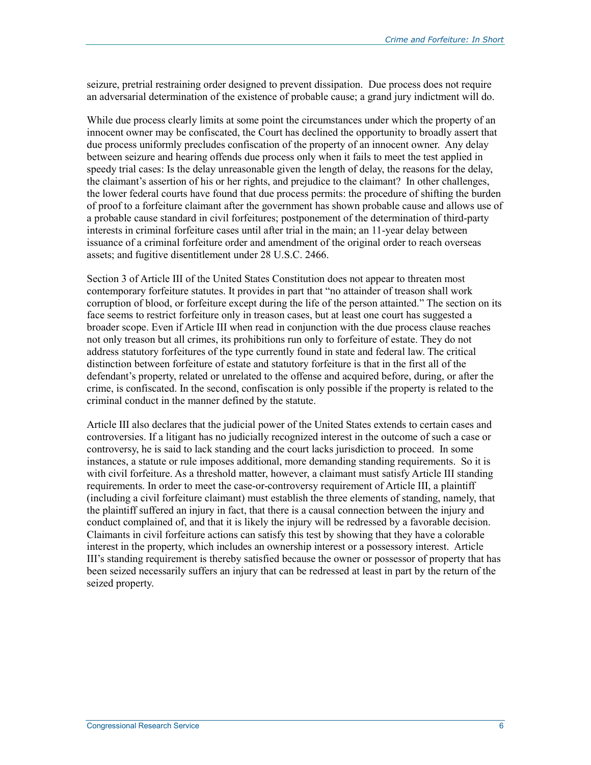seizure, pretrial restraining order designed to prevent dissipation. Due process does not require an adversarial determination of the existence of probable cause; a grand jury indictment will do.

While due process clearly limits at some point the circumstances under which the property of an innocent owner may be confiscated, the Court has declined the opportunity to broadly assert that due process uniformly precludes confiscation of the property of an innocent owner. Any delay between seizure and hearing offends due process only when it fails to meet the test applied in speedy trial cases: Is the delay unreasonable given the length of delay, the reasons for the delay, the claimant's assertion of his or her rights, and prejudice to the claimant? In other challenges, the lower federal courts have found that due process permits: the procedure of shifting the burden of proof to a forfeiture claimant after the government has shown probable cause and allows use of a probable cause standard in civil forfeitures; postponement of the determination of third-party interests in criminal forfeiture cases until after trial in the main; an 11-year delay between issuance of a criminal forfeiture order and amendment of the original order to reach overseas assets; and fugitive disentitlement under 28 U.S.C. 2466.

Section 3 of Article III of the United States Constitution does not appear to threaten most contemporary forfeiture statutes. It provides in part that "no attainder of treason shall work corruption of blood, or forfeiture except during the life of the person attainted." The section on its face seems to restrict forfeiture only in treason cases, but at least one court has suggested a broader scope. Even if Article III when read in conjunction with the due process clause reaches not only treason but all crimes, its prohibitions run only to forfeiture of estate. They do not address statutory forfeitures of the type currently found in state and federal law. The critical distinction between forfeiture of estate and statutory forfeiture is that in the first all of the defendant's property, related or unrelated to the offense and acquired before, during, or after the crime, is confiscated. In the second, confiscation is only possible if the property is related to the criminal conduct in the manner defined by the statute.

Article III also declares that the judicial power of the United States extends to certain cases and controversies. If a litigant has no judicially recognized interest in the outcome of such a case or controversy, he is said to lack standing and the court lacks jurisdiction to proceed. In some instances, a statute or rule imposes additional, more demanding standing requirements. So it is with civil forfeiture. As a threshold matter, however, a claimant must satisfy Article III standing requirements. In order to meet the case-or-controversy requirement of Article III, a plaintiff (including a civil forfeiture claimant) must establish the three elements of standing, namely, that the plaintiff suffered an injury in fact, that there is a causal connection between the injury and conduct complained of, and that it is likely the injury will be redressed by a favorable decision. Claimants in civil forfeiture actions can satisfy this test by showing that they have a colorable interest in the property, which includes an ownership interest or a possessory interest. Article III's standing requirement is thereby satisfied because the owner or possessor of property that has been seized necessarily suffers an injury that can be redressed at least in part by the return of the seized property.